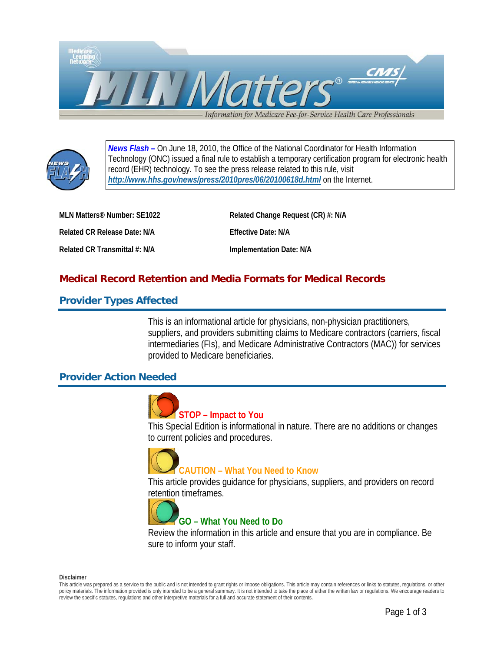



*News Flash –* On June 18, 2010, the Office of the National Coordinator for Health Information Technology (ONC) issued a final rule to establish a temporary certification program for electronic health record (EHR) technology. To see the press release related to this rule, visit *<http://www.hhs.gov/news/press/2010pres/06/20100618d.html>* on the Internet.

**MLN Matters® Number: SE1022 Related Change Request (CR) #: N/A**  Related CR Release Date: N/A **Effective Date: N/A** Related CR Transmittal #: N/A **Implementation Date: N/A** 

# **Medical Record Retention and Media Formats for Medical Records**

## **Provider Types Affected**

This is an informational article for physicians, non-physician practitioners, suppliers, and providers submitting claims to Medicare contractors (carriers, fiscal intermediaries (FIs), and Medicare Administrative Contractors (MAC)) for services provided to Medicare beneficiaries.

### **Provider Action Needed**



## **STOP – Impact to You**

This Special Edition is informational in nature. There are no additions or changes to current policies and procedures.



# **CAUTION – What You Need to Know**

This article provides guidance for physicians, suppliers, and providers on record retention timeframes.



# **GO – What You Need to Do**

Review the information in this article and ensure that you are in compliance. Be sure to inform your staff.

**Disclaimer** 

This article was prepared as a service to the public and is not intended to grant rights or impose obligations. This article may contain references or links to statutes, regulations, or other policy materials. The information provided is only intended to be a general summary. It is not intended to take the place of either the written law or regulations. We encourage readers to review the specific statutes, regulations and other interpretive materials for a full and accurate statement of their contents.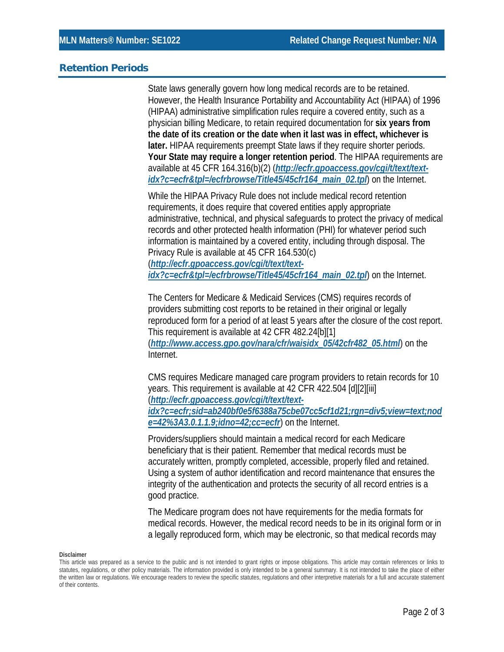#### **Retention Periods**

State laws generally govern how long medical records are to be retained. However, the Health Insurance Portability and Accountability Act (HIPAA) of 1996 (HIPAA) administrative simplification rules require a covered entity, such as a physician billing Medicare, to retain required documentation for **six years from the date of its creation or the date when it last was in effect, whichever is later.** HIPAA requirements preempt State laws if they require shorter periods. **Your State may require a longer retention period**. The HIPAA requirements are available at 45 CFR 164.316(b)(2) (*[http://ecfr.gpoaccess.gov/cgi/t/text/text](http://ecfr.gpoaccess.gov/cgi/t/text/text-idx?c=ecfr&tpl=/ecfrbrowse/Title45/45cfr164_main_02.tpl)[idx?c=ecfr&tpl=/ecfrbrowse/Title45/45cfr164\\_main\\_02.tpl](http://ecfr.gpoaccess.gov/cgi/t/text/text-idx?c=ecfr&tpl=/ecfrbrowse/Title45/45cfr164_main_02.tpl)*) on the Internet.

While the HIPAA Privacy Rule does not include medical record retention requirements, it does require that covered entities apply appropriate administrative, technical, and physical safeguards to protect the privacy of medical records and other protected health information (PHI) for whatever period such information is maintained by a covered entity, including through disposal. The Privacy Rule is available at 45 CFR 164.530(c) (*[http://ecfr.gpoaccess.gov/cgi/t/text/text-](http://ecfr.gpoaccess.gov/cgi/t/text/text-idx?c=ecfr&tpl=/ecfrbrowse/Title45/45cfr164_main_02.tpl)*

*[idx?c=ecfr&tpl=/ecfrbrowse/Title45/45cfr164\\_main\\_02.tpl](http://ecfr.gpoaccess.gov/cgi/t/text/text-idx?c=ecfr&tpl=/ecfrbrowse/Title45/45cfr164_main_02.tpl)*) on the Internet.

The Centers for Medicare & Medicaid Services (CMS) requires records of providers submitting cost reports to be retained in their original or legally reproduced form for a period of at least 5 years after the closure of the cost report. This requirement is available at 42 CFR 482.24[b][1] (*[http://www.access.gpo.gov/nara/cfr/waisidx\\_05/42cfr482\\_05.html](http://www.access.gpo.gov/nara/cfr/waisidx_05/42cfr482_05.html)*) on the Internet.

CMS requires Medicare managed care program providers to retain records for 10 years. This requirement is available at 42 CFR 422.504 [d][2][iii] (*[http://ecfr.gpoaccess.gov/cgi/t/text/text](http://ecfr.gpoaccess.gov/cgi/t/text/text-idx?c=ecfr;sid=ab240bf0e5f6388a75cbe07cc5cf1d21;rgn=div5;view=text;node=42%3A3.0.1.1.9;idno=42;cc=ecfr)[idx?c=ecfr;sid=ab240bf0e5f6388a75cbe07cc5cf1d21;rgn=div5;view=text;nod](http://ecfr.gpoaccess.gov/cgi/t/text/text-idx?c=ecfr;sid=ab240bf0e5f6388a75cbe07cc5cf1d21;rgn=div5;view=text;node=42%3A3.0.1.1.9;idno=42;cc=ecfr) [e=42%3A3.0.1.1.9;idno=42;cc=ecfr](http://ecfr.gpoaccess.gov/cgi/t/text/text-idx?c=ecfr;sid=ab240bf0e5f6388a75cbe07cc5cf1d21;rgn=div5;view=text;node=42%3A3.0.1.1.9;idno=42;cc=ecfr)*) on the Internet.

Providers/suppliers should maintain a medical record for each Medicare beneficiary that is their patient. Remember that medical records must be accurately written, promptly completed, accessible, properly filed and retained. Using a system of author identification and record maintenance that ensures the integrity of the authentication and protects the security of all record entries is a good practice.

The Medicare program does not have requirements for the media formats for medical records. However, the medical record needs to be in its original form or in a legally reproduced form, which may be electronic, so that medical records may

#### **Disclaimer**

This article was prepared as a service to the public and is not intended to grant rights or impose obligations. This article may contain references or links to statutes, regulations, or other policy materials. The information provided is only intended to be a general summary. It is not intended to take the place of either the written law or regulations. We encourage readers to review the specific statutes, regulations and other interpretive materials for a full and accurate statement of their contents.